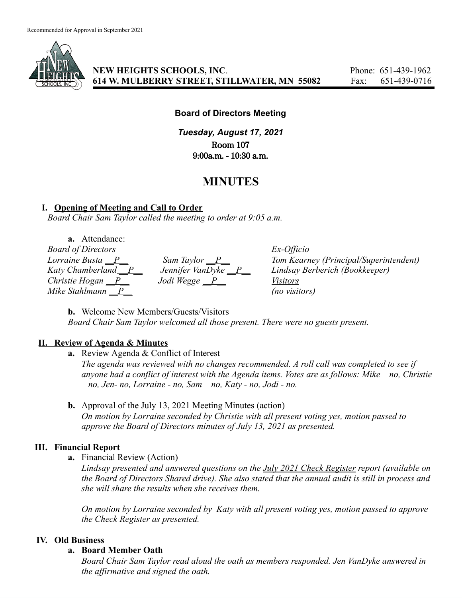

**NEW HEIGHTS SCHOOLS, INC**. Phone: 651-439-1962 **614 W. MULBERRY STREET, STILLWATER, MN 55082** Fax: 651-439-0716

#### **Board of Directors Meeting**

*Tuesday, August 17, 2021* Room 107 9:00a.m. - 10:30 a.m.

# **MINUTES**

#### **I. Opening of Meeting and Call to Order**

*Board Chair Sam Taylor called the meeting to order at 9:05 a.m.*

**a.** Attendance: *Board of Directors Ex-Officio*  $Mike$  *Stahlmann*  $\overline{P}$  *(no visitors)* 

*Christie Hogan \_\_P\_\_ Jodi Wegge \_\_P\_\_ Visitors*

*Lorraine Busta \_\_P\_\_ Sam Taylor \_\_P\_\_ Tom Kearney (Principal/Superintendent) Katy Chamberland \_\_P\_\_ Jennifer VanDyke \_\_P\_\_ Lindsay Berberich (Bookkeeper)*

**b.** Welcome New Members/Guests/Visitors *Board Chair Sam Taylor welcomed all those present. There were no guests present.*

#### **II. Review of Agenda & Minutes**

**a.** Review Agenda & Conflict of Interest

*The agenda was reviewed with no changes recommended. A roll call was completed to see if anyone had a conflict of interest with the Agenda items. Votes are as follows: Mike – no, Christie – no, Jen- no, Lorraine - no, Sam – no, Katy - no, Jodi - no.*

**b.** Approval of the July 13, 2021 Meeting Minutes (action) *On motion by Lorraine seconded by Christie with all present voting yes, motion passed to approve the Board of Directors minutes of July 13, 2021 as presented.*

## **III. Financial Report**

**a.** Financial Review (Action)

*Lindsay presented and answered questions on the July 2021 Check Register report (available on* the Board of Directors Shared drive). She also stated that the annual audit is still in process and *she will share the results when she receives them.*

*On motion by Lorraine seconded by Katy with all present voting yes, motion passed to approve the Check Register as presented.*

## **IV. Old Business**

#### **a. Board Member Oath**

*Board Chair Sam Taylor read aloud the oath as members responded. Jen VanDyke answered in the affirmative and signed the oath.*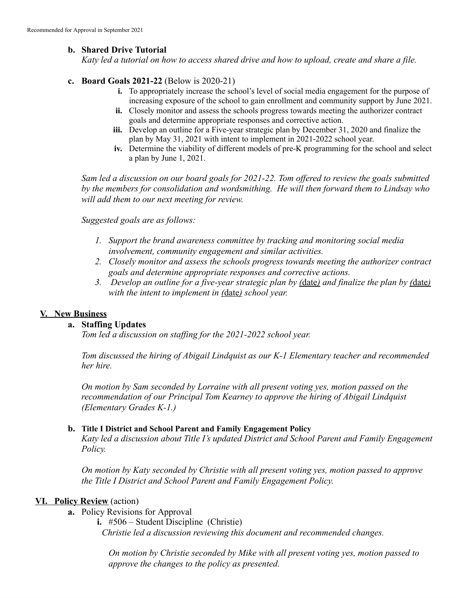# **b. Shared Drive Tutorial**

Katy led a tutorial on how to access shared drive and how to upload, create and share a file.

## **c. Board Goals 2021-22** (Below is 2020-21)

- **i.** To appropriately increase the school's level of social media engagement for the purpose of increasing exposure of the school to gain enrollment and community support by June 2021.
- **ii.** Closely monitor and assess the schools progress towards meeting the authorizer contract goals and determine appropriate responses and corrective action.
- **iii.** Develop an outline for a Five-year strategic plan by December 31, 2020 and finalize the plan by May 31, 2021 with intent to implement in 2021-2022 school year.
- **iv.** Determine the viability of different models of pre-K programming for the school and select a plan by June 1, 2021.

*Sam led a discussion on our board goals for 2021-22. Tom offered to review the goals submitted by the members for consolidation and wordsmithing. He will then forward them to Lindsay who will add them to our next meeting for review.*

*Suggested goals are as follows:*

- *1. Support the brand awareness committee by tracking and monitoring social media involvement, community engagement and similar activities.*
- *2. Closely monitor and assess the schools progress towards meeting the authorizer contract goals and determine appropriate responses and corrective actions.*
- 3. Develop an outline for a five-year strategic plan by (date) and finalize the plan by (date) *with the intent to implement in (*date*) school year.*

# **V. New Business**

## **a. Staffing Updates**

*Tom led a discussion on staffing for the 2021-2022 school year.*

*Tom discussed the hiring of Abigail Lindquist as our K-1 Elementary teacher and recommended her hire.*

*On motion by Sam seconded by Lorraine with all present voting yes, motion passed on the recommendation of our Principal Tom Kearney to approve the hiring of Abigail Lindquist (Elementary Grades K-1.)*

## **b. Title I District and School Parent and Family Engagement Policy**

*Katy led a discussion about Title I's updated District and School Parent and Family Engagement Policy.*

*On motion by Katy seconded by Christie with all present voting yes, motion passed to approve the Title I District and School Parent and Family Engagement Policy.*

## **VI. Policy Review** (action)

- **a.** Policy Revisions for Approval
	- **i.** #506 Student Discipline (Christie)
		- *Christie led a discussion reviewing this document and recommended changes.*

*On motion by Christie seconded by Mike with all present voting yes, motion passed to approve the changes to the policy as presented.*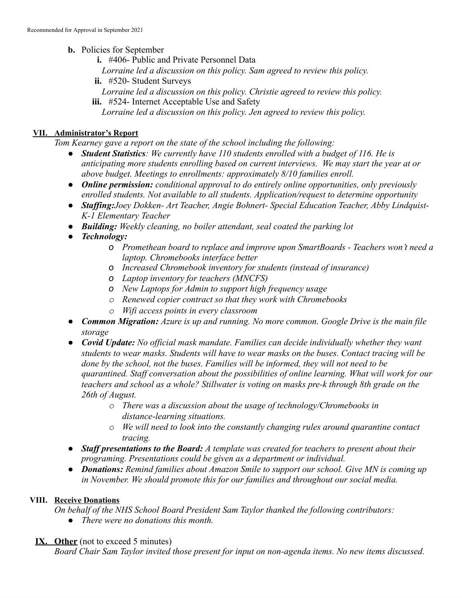- **b.** Policies for September
	- **i.** #406- Public and Private Personnel Data
	- *Lorraine led a discussion on this policy. Sam agreed to review this policy.*
	- **ii.** #520- Student Surveys
	- *Lorraine led a discussion on this policy. Christie agreed to review this policy.*
	- **iii.** #524- Internet Acceptable Use and Safety
		- *Lorraine led a discussion on this policy. Jen agreed to review this policy.*

## **VII. Administrator's Report**

*Tom Kearney gave a report on the state of the school including the following:*

- *● Student Statistics: We currently have 110 students enrolled with a budget of 116. He is anticipating more students enrolling based on current interviews. We may start the year at or above budget. Meetings to enrollments: approximately 8/10 families enroll.*
- *● Online permission: conditional approval to do entirely online opportunities, only previously enrolled students. Not available to all students. Application/request to determine opportunity*
- *● Staffing:Joey Dokken- Art Teacher, Angie Bohnert- Special Education Teacher, Abby Lindquist-K-1 Elementary Teacher*
- *● Building: Weekly cleaning, no boiler attendant, seal coated the parking lot*
- *● Technology:*
	- *o Promethean board to replace and improve upon SmartBoards - Teachers won't need a laptop. Chromebooks interface better*
	- *o Increased Chromebook inventory for students (instead of insurance)*
	- *o Laptop inventory for teachers (MNCFS)*
	- *o New Laptops for Admin to support high frequency usage*
	- *o Renewed copier contract so that they work with Chromebooks*
	- *o Wifi access points in every classroom*
- *● Common Migration: Azure is up and running. No more common. Google Drive is the main file storage*
- *● Covid Update: No official mask mandate. Families can decide individually whether they want students to wear masks. Students will have to wear masks on the buses. Contact tracing will be done by the school, not the buses. Families will be informed, they will not need to be quarantined. Staff conversation about the possibilities of online learning. What will work for our teachers and school as a whole? Stillwater is voting on masks pre-k through 8th grade on the 26th of August.*
	- *o There was a discussion about the usage of technology/Chromebooks in distance-learning situations.*
	- *o We will need to look into the constantly changing rules around quarantine contact tracing.*
- *● Staff presentations to the Board: A template was created for teachers to present about their programing. Presentations could be given as a department or individual.*
- *● Donations: Remind families about Amazon Smile to support our school. Give MN is coming up in November. We should promote this for our families and throughout our social media.*

# **VIII. Receive Donations**

*On behalf of the NHS School Board President Sam Taylor thanked the following contributors:*

*● There were no donations this month.*

# **IX. Other** (not to exceed 5 minutes)

*Board Chair Sam Taylor invited those present for input on non-agenda items. No new items discussed.*